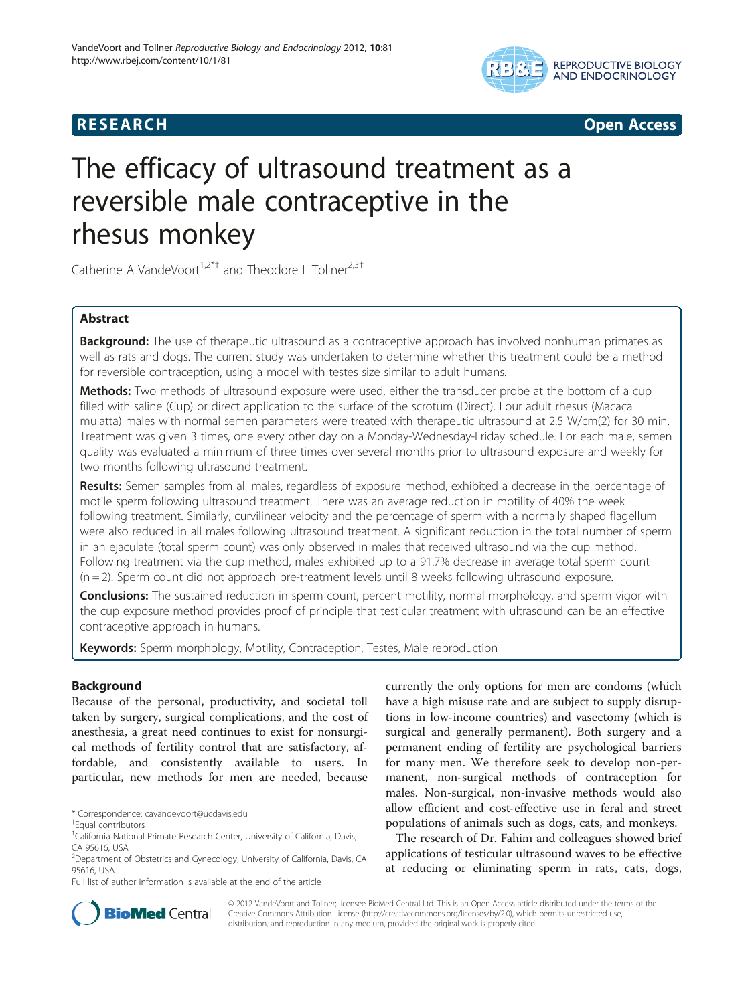

**RESEARCH RESEARCH** *CHECKER CHECKER CHECKER CHECKER CHECKER CHECKER CHECKER CHECKER CHECKER CHECKER CHECKER* 

# The efficacy of ultrasound treatment as a reversible male contraceptive in the rhesus monkey

Catherine A VandeVoort<sup>1,2\*†</sup> and Theodore L Tollner<sup>2,3†</sup>

# Abstract

Background: The use of therapeutic ultrasound as a contraceptive approach has involved nonhuman primates as well as rats and dogs. The current study was undertaken to determine whether this treatment could be a method for reversible contraception, using a model with testes size similar to adult humans.

**Methods:** Two methods of ultrasound exposure were used, either the transducer probe at the bottom of a cup filled with saline (Cup) or direct application to the surface of the scrotum (Direct). Four adult rhesus (Macaca mulatta) males with normal semen parameters were treated with therapeutic ultrasound at 2.5 W/cm(2) for 30 min. Treatment was given 3 times, one every other day on a Monday-Wednesday-Friday schedule. For each male, semen quality was evaluated a minimum of three times over several months prior to ultrasound exposure and weekly for two months following ultrasound treatment.

Results: Semen samples from all males, regardless of exposure method, exhibited a decrease in the percentage of motile sperm following ultrasound treatment. There was an average reduction in motility of 40% the week following treatment. Similarly, curvilinear velocity and the percentage of sperm with a normally shaped flagellum were also reduced in all males following ultrasound treatment. A significant reduction in the total number of sperm in an ejaculate (total sperm count) was only observed in males that received ultrasound via the cup method. Following treatment via the cup method, males exhibited up to a 91.7% decrease in average total sperm count  $(n = 2)$ . Sperm count did not approach pre-treatment levels until 8 weeks following ultrasound exposure.

**Conclusions:** The sustained reduction in sperm count, percent motility, normal morphology, and sperm vigor with the cup exposure method provides proof of principle that testicular treatment with ultrasound can be an effective contraceptive approach in humans.

Keywords: Sperm morphology, Motility, Contraception, Testes, Male reproduction

# **Background**

Because of the personal, productivity, and societal toll taken by surgery, surgical complications, and the cost of anesthesia, a great need continues to exist for nonsurgical methods of fertility control that are satisfactory, affordable, and consistently available to users. In particular, new methods for men are needed, because

currently the only options for men are condoms (which have a high misuse rate and are subject to supply disruptions in low-income countries) and vasectomy (which is surgical and generally permanent). Both surgery and a permanent ending of fertility are psychological barriers for many men. We therefore seek to develop non-permanent, non-surgical methods of contraception for males. Non-surgical, non-invasive methods would also allow efficient and cost-effective use in feral and street populations of animals such as dogs, cats, and monkeys.

The research of Dr. Fahim and colleagues showed brief applications of testicular ultrasound waves to be effective at reducing or eliminating sperm in rats, cats, dogs,



© 2012 VandeVoort and Tollner; licensee BioMed Central Ltd. This is an Open Access article distributed under the terms of the Creative Commons Attribution License (<http://creativecommons.org/licenses/by/2.0>), which permits unrestricted use, distribution, and reproduction in any medium, provided the original work is properly cited.

<sup>\*</sup> Correspondence: [cavandevoort@ucdavis.edu](mailto:cavandevoort@ucdavis.edu) †

Equal contributors

<sup>&</sup>lt;sup>1</sup>California National Primate Research Center, University of California, Davis, CA 95616, USA

<sup>&</sup>lt;sup>2</sup>Department of Obstetrics and Gynecology, University of California, Davis, CA 95616, USA

Full list of author information is available at the end of the article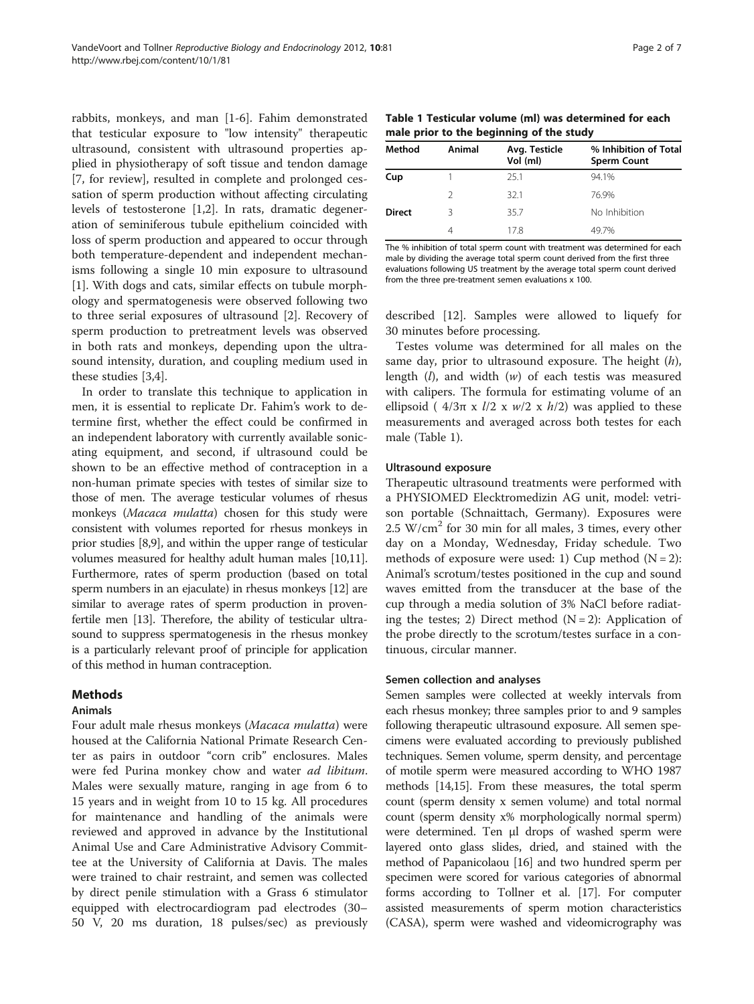<span id="page-1-0"></span>rabbits, monkeys, and man [[1-6](#page-5-0)]. Fahim demonstrated that testicular exposure to "low intensity" therapeutic ultrasound, consistent with ultrasound properties applied in physiotherapy of soft tissue and tendon damage [[7,](#page-5-0) for review], resulted in complete and prolonged cessation of sperm production without affecting circulating levels of testosterone [\[1,2](#page-5-0)]. In rats, dramatic degeneration of seminiferous tubule epithelium coincided with loss of sperm production and appeared to occur through both temperature-dependent and independent mechanisms following a single 10 min exposure to ultrasound [[1\]](#page-5-0). With dogs and cats, similar effects on tubule morphology and spermatogenesis were observed following two to three serial exposures of ultrasound [\[2](#page-5-0)]. Recovery of sperm production to pretreatment levels was observed in both rats and monkeys, depending upon the ultrasound intensity, duration, and coupling medium used in these studies [\[3,4\]](#page-5-0).

In order to translate this technique to application in men, it is essential to replicate Dr. Fahim's work to determine first, whether the effect could be confirmed in an independent laboratory with currently available sonicating equipment, and second, if ultrasound could be shown to be an effective method of contraception in a non-human primate species with testes of similar size to those of men. The average testicular volumes of rhesus monkeys (Macaca mulatta) chosen for this study were consistent with volumes reported for rhesus monkeys in prior studies [\[8,9\]](#page-5-0), and within the upper range of testicular volumes measured for healthy adult human males [\[10,11](#page-5-0)]. Furthermore, rates of sperm production (based on total sperm numbers in an ejaculate) in rhesus monkeys [\[12\]](#page-5-0) are similar to average rates of sperm production in provenfertile men [\[13\]](#page-5-0). Therefore, the ability of testicular ultrasound to suppress spermatogenesis in the rhesus monkey is a particularly relevant proof of principle for application of this method in human contraception.

# Methods

# Animals

Four adult male rhesus monkeys (Macaca mulatta) were housed at the California National Primate Research Center as pairs in outdoor "corn crib" enclosures. Males were fed Purina monkey chow and water *ad libitum*. Males were sexually mature, ranging in age from 6 to 15 years and in weight from 10 to 15 kg. All procedures for maintenance and handling of the animals were reviewed and approved in advance by the Institutional Animal Use and Care Administrative Advisory Committee at the University of California at Davis. The males were trained to chair restraint, and semen was collected by direct penile stimulation with a Grass 6 stimulator equipped with electrocardiogram pad electrodes (30– 50 V, 20 ms duration, 18 pulses/sec) as previously

| Method        | Animal | Avg. Testicle<br>Vol (ml) | % Inhibition of Total<br><b>Sperm Count</b> |
|---------------|--------|---------------------------|---------------------------------------------|
| Cup           |        | 25.1                      | 94.1%                                       |
|               | 2      | 321                       | 76.9%                                       |
| <b>Direct</b> | ς      | 35.7                      | No Inhibition                               |
|               | 4      | 178                       | 497%                                        |

The % inhibition of total sperm count with treatment was determined for each male by dividing the average total sperm count derived from the first three evaluations following US treatment by the average total sperm count derived from the three pre-treatment semen evaluations x 100.

described [\[12](#page-5-0)]. Samples were allowed to liquefy for 30 minutes before processing.

Testes volume was determined for all males on the same day, prior to ultrasound exposure. The height  $(h)$ , length  $(l)$ , and width  $(w)$  of each testis was measured with calipers. The formula for estimating volume of an ellipsoid (  $4/3\pi \times l/2 \times w/2 \times h/2$ ) was applied to these measurements and averaged across both testes for each male (Table 1).

# Ultrasound exposure

Therapeutic ultrasound treatments were performed with a PHYSIOMED Elecktromedizin AG unit, model: vetrison portable (Schnaittach, Germany). Exposures were  $2.5 \text{ W/cm}^2$  for 30 min for all males, 3 times, every other day on a Monday, Wednesday, Friday schedule. Two methods of exposure were used: 1) Cup method  $(N = 2)$ : Animal's scrotum/testes positioned in the cup and sound waves emitted from the transducer at the base of the cup through a media solution of 3% NaCl before radiating the testes; 2) Direct method  $(N = 2)$ : Application of the probe directly to the scrotum/testes surface in a continuous, circular manner.

# Semen collection and analyses

Semen samples were collected at weekly intervals from each rhesus monkey; three samples prior to and 9 samples following therapeutic ultrasound exposure. All semen specimens were evaluated according to previously published techniques. Semen volume, sperm density, and percentage of motile sperm were measured according to WHO 1987 methods [[14](#page-5-0)[,15\]](#page-6-0). From these measures, the total sperm count (sperm density x semen volume) and total normal count (sperm density x% morphologically normal sperm) were determined. Ten μl drops of washed sperm were layered onto glass slides, dried, and stained with the method of Papanicolaou [[16](#page-6-0)] and two hundred sperm per specimen were scored for various categories of abnormal forms according to Tollner et al. [[17](#page-6-0)]. For computer assisted measurements of sperm motion characteristics (CASA), sperm were washed and videomicrography was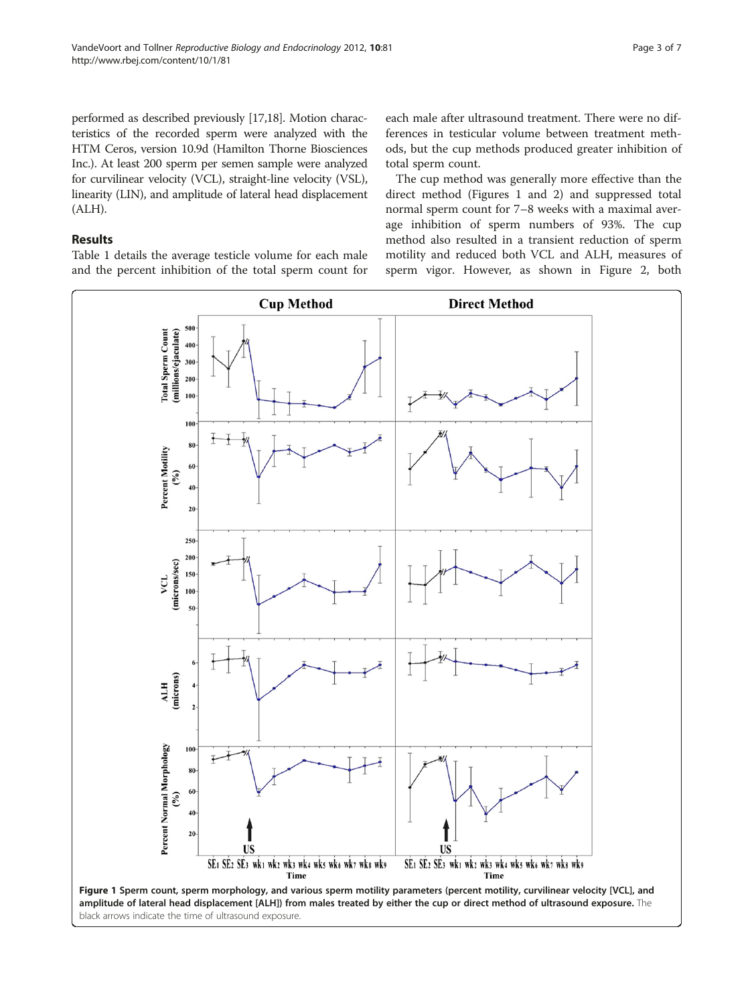<span id="page-2-0"></span>performed as described previously [\[17,18](#page-6-0)]. Motion characteristics of the recorded sperm were analyzed with the HTM Ceros, version 10.9d (Hamilton Thorne Biosciences Inc.). At least 200 sperm per semen sample were analyzed for curvilinear velocity (VCL), straight-line velocity (VSL), linearity (LIN), and amplitude of lateral head displacement (ALH).

# Results

Table [1](#page-1-0) details the average testicle volume for each male and the percent inhibition of the total sperm count for each male after ultrasound treatment. There were no differences in testicular volume between treatment methods, but the cup methods produced greater inhibition of total sperm count.

The cup method was generally more effective than the direct method (Figures 1 and [2](#page-3-0)) and suppressed total normal sperm count for 7–8 weeks with a maximal average inhibition of sperm numbers of 93%. The cup method also resulted in a transient reduction of sperm motility and reduced both VCL and ALH, measures of sperm vigor. However, as shown in Figure [2,](#page-3-0) both



black arrows indicate the time of ultrasound exposure.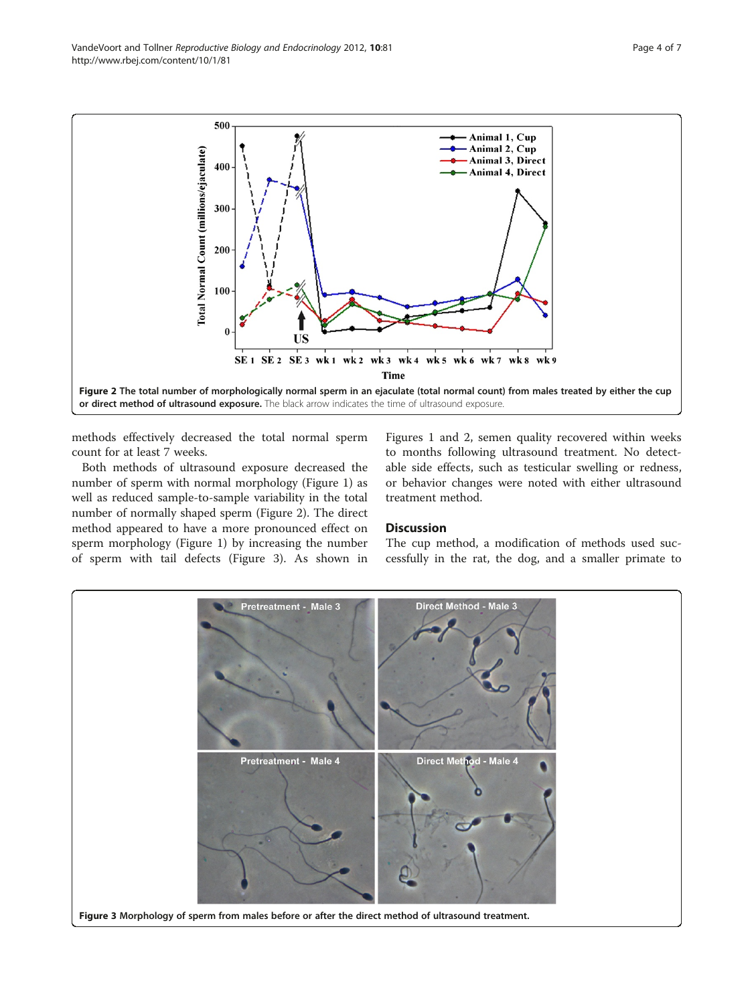methods effectively decreased the total normal sperm count for at least 7 weeks.

or direct method of ultrasound exposure. The black arrow indicates the time of ultrasound exposure.

SE<sub>1</sub> SE<sub>2</sub> SE<sub>3</sub> wk<sub>1</sub>

**US** 

Both methods of ultrasound exposure decreased the number of sperm with normal morphology (Figure [1\)](#page-2-0) as well as reduced sample-to-sample variability in the total number of normally shaped sperm (Figure 2). The direct method appeared to have a more pronounced effect on sperm morphology (Figure [1](#page-2-0)) by increasing the number of sperm with tail defects (Figure 3). As shown in

Figures [1](#page-2-0) and 2, semen quality recovered within weeks to months following ultrasound treatment. No detectable side effects, such as testicular swelling or redness, or behavior changes were noted with either ultrasound treatment method.

Animal 1, Cup Animal 2, Cup

**Animal 3, Direct** 

**Animal 4, Direct** 

#### **Discussion**

Figure 2 The total number of morphologically normal sperm in an ejaculate (total normal count) from males treated by either the cup

wk 4

**Time** 

 $w<sub>k</sub>$  5

 $w<sub>k</sub>$  6

 $w<sub>k</sub>$  7

 $w<sub>k</sub>$  8

wk9

wk 2 wk 3

The cup method, a modification of methods used successfully in the rat, the dog, and a smaller primate to



<span id="page-3-0"></span>

500

400

300

200

100

 $\mathbf{0}$ 

Total Normal Count (millions/ejaculate)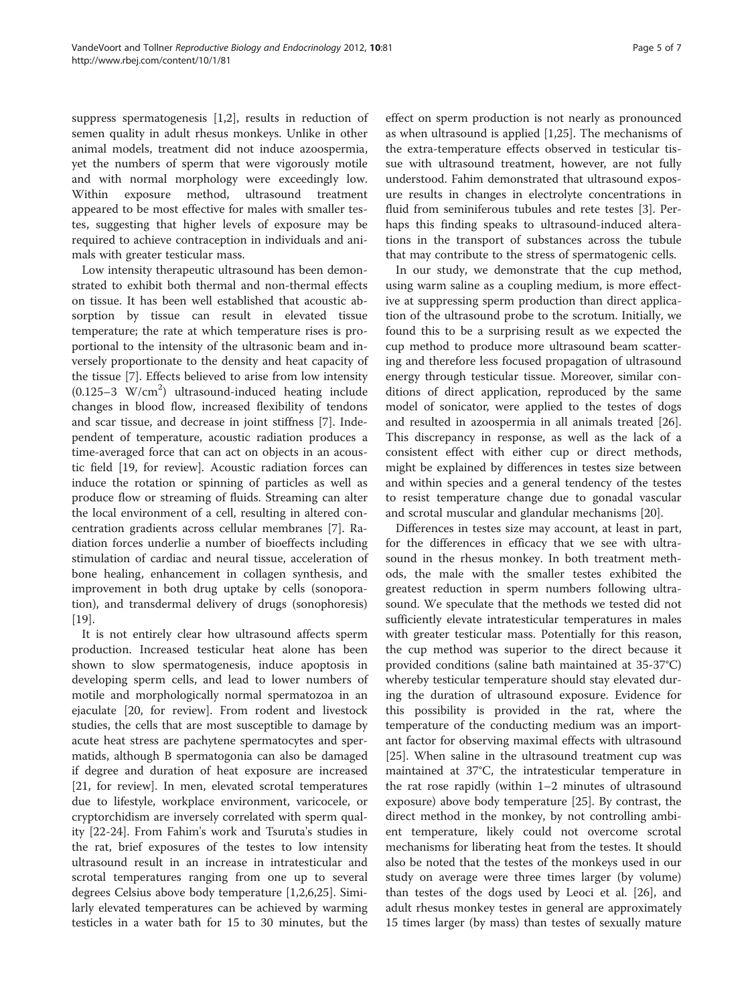suppress spermatogenesis [[1,2\]](#page-5-0), results in reduction of semen quality in adult rhesus monkeys. Unlike in other animal models, treatment did not induce azoospermia, yet the numbers of sperm that were vigorously motile and with normal morphology were exceedingly low. Within exposure method, ultrasound treatment appeared to be most effective for males with smaller testes, suggesting that higher levels of exposure may be required to achieve contraception in individuals and animals with greater testicular mass.

Low intensity therapeutic ultrasound has been demonstrated to exhibit both thermal and non-thermal effects on tissue. It has been well established that acoustic absorption by tissue can result in elevated tissue temperature; the rate at which temperature rises is proportional to the intensity of the ultrasonic beam and inversely proportionate to the density and heat capacity of the tissue [[7\]](#page-5-0). Effects believed to arise from low intensity  $(0.125-3 \text{ W/cm}^2)$  ultrasound-induced heating include changes in blood flow, increased flexibility of tendons and scar tissue, and decrease in joint stiffness [[7\]](#page-5-0). Independent of temperature, acoustic radiation produces a time-averaged force that can act on objects in an acoustic field [[19,](#page-6-0) for review]. Acoustic radiation forces can induce the rotation or spinning of particles as well as produce flow or streaming of fluids. Streaming can alter the local environment of a cell, resulting in altered concentration gradients across cellular membranes [\[7\]](#page-5-0). Radiation forces underlie a number of bioeffects including stimulation of cardiac and neural tissue, acceleration of bone healing, enhancement in collagen synthesis, and improvement in both drug uptake by cells (sonoporation), and transdermal delivery of drugs (sonophoresis) [[19\]](#page-6-0).

It is not entirely clear how ultrasound affects sperm production. Increased testicular heat alone has been shown to slow spermatogenesis, induce apoptosis in developing sperm cells, and lead to lower numbers of motile and morphologically normal spermatozoa in an ejaculate [\[20,](#page-6-0) for review]. From rodent and livestock studies, the cells that are most susceptible to damage by acute heat stress are pachytene spermatocytes and spermatids, although B spermatogonia can also be damaged if degree and duration of heat exposure are increased [[21,](#page-6-0) for review]. In men, elevated scrotal temperatures due to lifestyle, workplace environment, varicocele, or cryptorchidism are inversely correlated with sperm quality [[22-24](#page-6-0)]. From Fahim's work and Tsuruta's studies in the rat, brief exposures of the testes to low intensity ultrasound result in an increase in intratesticular and scrotal temperatures ranging from one up to several degrees Celsius above body temperature [\[1,2,6](#page-5-0)[,25](#page-6-0)]. Similarly elevated temperatures can be achieved by warming testicles in a water bath for 15 to 30 minutes, but the

effect on sperm production is not nearly as pronounced as when ultrasound is applied [[1,](#page-5-0)[25\]](#page-6-0). The mechanisms of the extra-temperature effects observed in testicular tissue with ultrasound treatment, however, are not fully understood. Fahim demonstrated that ultrasound exposure results in changes in electrolyte concentrations in fluid from seminiferous tubules and rete testes [[3\]](#page-5-0). Perhaps this finding speaks to ultrasound-induced alterations in the transport of substances across the tubule that may contribute to the stress of spermatogenic cells.

In our study, we demonstrate that the cup method, using warm saline as a coupling medium, is more effective at suppressing sperm production than direct application of the ultrasound probe to the scrotum. Initially, we found this to be a surprising result as we expected the cup method to produce more ultrasound beam scattering and therefore less focused propagation of ultrasound energy through testicular tissue. Moreover, similar conditions of direct application, reproduced by the same model of sonicator, were applied to the testes of dogs and resulted in azoospermia in all animals treated [\[26](#page-6-0)]. This discrepancy in response, as well as the lack of a consistent effect with either cup or direct methods, might be explained by differences in testes size between and within species and a general tendency of the testes to resist temperature change due to gonadal vascular and scrotal muscular and glandular mechanisms [\[20\]](#page-6-0).

Differences in testes size may account, at least in part, for the differences in efficacy that we see with ultrasound in the rhesus monkey. In both treatment methods, the male with the smaller testes exhibited the greatest reduction in sperm numbers following ultrasound. We speculate that the methods we tested did not sufficiently elevate intratesticular temperatures in males with greater testicular mass. Potentially for this reason, the cup method was superior to the direct because it provided conditions (saline bath maintained at 35-37°C) whereby testicular temperature should stay elevated during the duration of ultrasound exposure. Evidence for this possibility is provided in the rat, where the temperature of the conducting medium was an important factor for observing maximal effects with ultrasound [[25\]](#page-6-0). When saline in the ultrasound treatment cup was maintained at 37°C, the intratesticular temperature in the rat rose rapidly (within 1–2 minutes of ultrasound exposure) above body temperature [[25](#page-6-0)]. By contrast, the direct method in the monkey, by not controlling ambient temperature, likely could not overcome scrotal mechanisms for liberating heat from the testes. It should also be noted that the testes of the monkeys used in our study on average were three times larger (by volume) than testes of the dogs used by Leoci et al. [[26](#page-6-0)], and adult rhesus monkey testes in general are approximately 15 times larger (by mass) than testes of sexually mature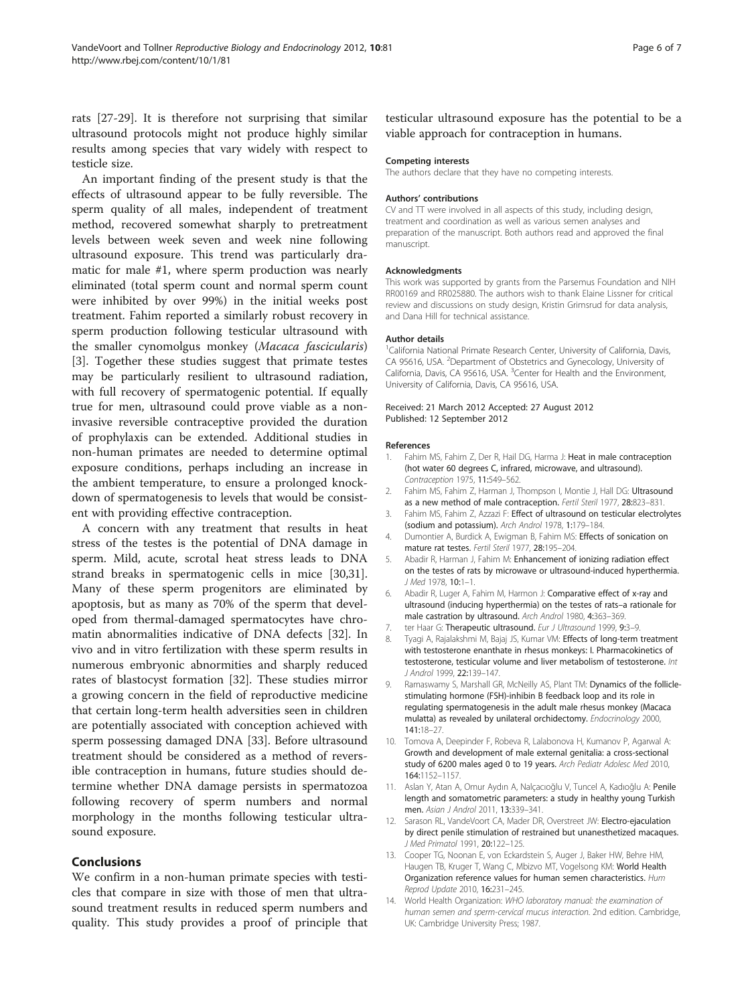<span id="page-5-0"></span>rats [[27-29](#page-6-0)]. It is therefore not surprising that similar ultrasound protocols might not produce highly similar results among species that vary widely with respect to testicle size.

An important finding of the present study is that the effects of ultrasound appear to be fully reversible. The sperm quality of all males, independent of treatment method, recovered somewhat sharply to pretreatment levels between week seven and week nine following ultrasound exposure. This trend was particularly dramatic for male #1, where sperm production was nearly eliminated (total sperm count and normal sperm count were inhibited by over 99%) in the initial weeks post treatment. Fahim reported a similarly robust recovery in sperm production following testicular ultrasound with the smaller cynomolgus monkey (Macaca fascicularis) [3]. Together these studies suggest that primate testes may be particularly resilient to ultrasound radiation, with full recovery of spermatogenic potential. If equally true for men, ultrasound could prove viable as a noninvasive reversible contraceptive provided the duration of prophylaxis can be extended. Additional studies in non-human primates are needed to determine optimal exposure conditions, perhaps including an increase in the ambient temperature, to ensure a prolonged knockdown of spermatogenesis to levels that would be consistent with providing effective contraception.

A concern with any treatment that results in heat stress of the testes is the potential of DNA damage in sperm. Mild, acute, scrotal heat stress leads to DNA strand breaks in spermatogenic cells in mice [\[30,31](#page-6-0)]. Many of these sperm progenitors are eliminated by apoptosis, but as many as 70% of the sperm that developed from thermal-damaged spermatocytes have chromatin abnormalities indicative of DNA defects [\[32](#page-6-0)]. In vivo and in vitro fertilization with these sperm results in numerous embryonic abnormities and sharply reduced rates of blastocyst formation [\[32\]](#page-6-0). These studies mirror a growing concern in the field of reproductive medicine that certain long-term health adversities seen in children are potentially associated with conception achieved with sperm possessing damaged DNA [[33](#page-6-0)]. Before ultrasound treatment should be considered as a method of reversible contraception in humans, future studies should determine whether DNA damage persists in spermatozoa following recovery of sperm numbers and normal morphology in the months following testicular ultrasound exposure.

# Conclusions

We confirm in a non-human primate species with testicles that compare in size with those of men that ultrasound treatment results in reduced sperm numbers and quality. This study provides a proof of principle that

testicular ultrasound exposure has the potential to be a viable approach for contraception in humans.

#### Competing interests

The authors declare that they have no competing interests.

#### Authors' contributions

CV and TT were involved in all aspects of this study, including design, treatment and coordination as well as various semen analyses and preparation of the manuscript. Both authors read and approved the final manuscript.

#### Acknowledgments

This work was supported by grants from the Parsemus Foundation and NIH RR00169 and RR025880. The authors wish to thank Elaine Lissner for critical review and discussions on study design, Kristin Grimsrud for data analysis, and Dana Hill for technical assistance.

#### Author details

<sup>1</sup>California National Primate Research Center, University of California, Davis, CA 95616, USA. <sup>2</sup>Department of Obstetrics and Gynecology, University of California, Davis, CA 95616, USA. <sup>3</sup> Center for Health and the Environment University of California, Davis, CA 95616, USA.

#### Received: 21 March 2012 Accepted: 27 August 2012 Published: 12 September 2012

#### References

- 1. Fahim MS, Fahim Z, Der R, Hail DG, Harma J: Heat in male contraception (hot water 60 degrees C, infrared, microwave, and ultrasound). Contraception 1975, 11:549–562.
- 2. Fahim MS, Fahim Z, Harman J, Thompson I, Montie J, Hall DG: Ultrasound as a new method of male contraception. Fertil Steril 1977, 28:823–831.
- Fahim MS, Fahim Z, Azzazi F: Effect of ultrasound on testicular electrolytes (sodium and potassium). Arch Androl 1978, 1:179–184.
- 4. Dumontier A, Burdick A, Ewigman B, Fahim MS: Effects of sonication on mature rat testes. Fertil Steril 1977, 28:195–204.
- 5. Abadir R, Harman J, Fahim M: Enhancement of ionizing radiation effect on the testes of rats by microwave or ultrasound-induced hyperthermia. J Med 1978, 10:1–1.
- 6. Abadir R, Luger A, Fahim M, Harmon J: Comparative effect of x-ray and ultrasound (inducing hyperthermia) on the testes of rats–a rationale for male castration by ultrasound. Arch Androl 1980, 4:363–369.
- 7. ter Haar G: Therapeutic ultrasound. Eur J Ultrasound 1999, 9:3-9.
- 8. Tyagi A, Rajalakshmi M, Bajaj JS, Kumar VM: Effects of long-term treatment with testosterone enanthate in rhesus monkeys: I. Pharmacokinetics of testosterone, testicular volume and liver metabolism of testosterone. Int J Androl 1999, 22:139–147.
- 9. Ramaswamy S, Marshall GR, McNeilly AS, Plant TM: Dynamics of the folliclestimulating hormone (FSH)-inhibin B feedback loop and its role in regulating spermatogenesis in the adult male rhesus monkey (Macaca mulatta) as revealed by unilateral orchidectomy. Endocrinology 2000, 141:18–27.
- 10. Tomova A, Deepinder F, Robeva R, Lalabonova H, Kumanov P, Agarwal A: Growth and development of male external genitalia: a cross-sectional study of 6200 males aged 0 to 19 years. Arch Pediatr Adolesc Med 2010, 164:1152–1157.
- 11. Aslan Y, Atan A, Omur Aydın A, Nalçacıoğlu V, Tuncel A, Kadıoğlu A: Penile length and somatometric parameters: a study in healthy young Turkish men. Asian J Androl 2011, 13:339–341.
- 12. Sarason RL, VandeVoort CA, Mader DR, Overstreet JW: Electro-ejaculation by direct penile stimulation of restrained but unanesthetized macaques. J Med Primatol 1991, 20:122–125.
- 13. Cooper TG, Noonan E, von Eckardstein S, Auger J, Baker HW, Behre HM, Haugen TB, Kruger T, Wang C, Mbizvo MT, Vogelsong KM: World Health Organization reference values for human semen characteristics. Hum Reprod Update 2010, 16:231–245.
- 14. World Health Organization: WHO laboratory manual: the examination of human semen and sperm-cervical mucus interaction. 2nd edition. Cambridge, UK: Cambridge University Press; 1987.